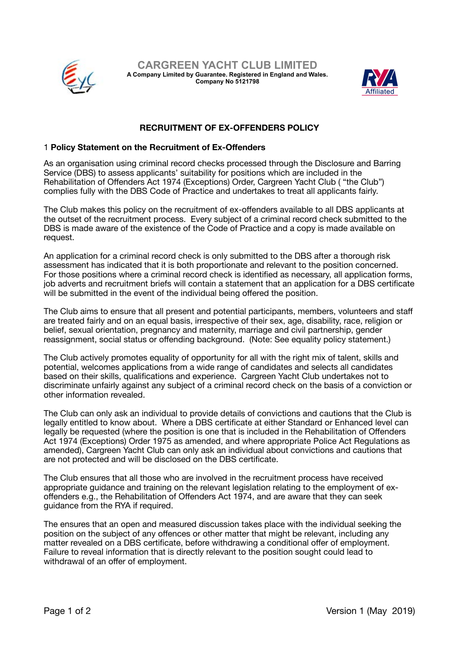



## **RECRUITMENT OF EX-OFFENDERS POLICY**

## 1 **Policy Statement on the Recruitment of Ex-Offenders**

As an organisation using criminal record checks processed through the Disclosure and Barring Service (DBS) to assess applicants' suitability for positions which are included in the Rehabilitation of Offenders Act 1974 (Exceptions) Order, Cargreen Yacht Club ( "the Club") complies fully with the DBS Code of Practice and undertakes to treat all applicants fairly.

The Club makes this policy on the recruitment of ex-offenders available to all DBS applicants at the outset of the recruitment process. Every subject of a criminal record check submitted to the DBS is made aware of the existence of the Code of Practice and a copy is made available on request.

An application for a criminal record check is only submitted to the DBS after a thorough risk assessment has indicated that it is both proportionate and relevant to the position concerned. For those positions where a criminal record check is identified as necessary, all application forms, job adverts and recruitment briefs will contain a statement that an application for a DBS certificate will be submitted in the event of the individual being offered the position.

The Club aims to ensure that all present and potential participants, members, volunteers and staff are treated fairly and on an equal basis, irrespective of their sex, age, disability, race, religion or belief, sexual orientation, pregnancy and maternity, marriage and civil partnership, gender reassignment, social status or offending background. (Note: See equality policy statement.)

The Club actively promotes equality of opportunity for all with the right mix of talent, skills and potential, welcomes applications from a wide range of candidates and selects all candidates based on their skills, qualifications and experience. Cargreen Yacht Club undertakes not to discriminate unfairly against any subject of a criminal record check on the basis of a conviction or other information revealed.

The Club can only ask an individual to provide details of convictions and cautions that the Club is legally entitled to know about. Where a DBS certificate at either Standard or Enhanced level can legally be requested (where the position is one that is included in the Rehabilitation of Offenders Act 1974 (Exceptions) Order 1975 as amended, and where appropriate Police Act Regulations as amended), Cargreen Yacht Club can only ask an individual about convictions and cautions that are not protected and will be disclosed on the DBS certificate.

The Club ensures that all those who are involved in the recruitment process have received appropriate guidance and training on the relevant legislation relating to the employment of exoffenders e.g., the Rehabilitation of Offenders Act 1974, and are aware that they can seek quidance from the RYA if required.

The ensures that an open and measured discussion takes place with the individual seeking the position on the subject of any offences or other matter that might be relevant, including any matter revealed on a DBS certificate, before withdrawing a conditional offer of employment. Failure to reveal information that is directly relevant to the position sought could lead to withdrawal of an offer of employment.